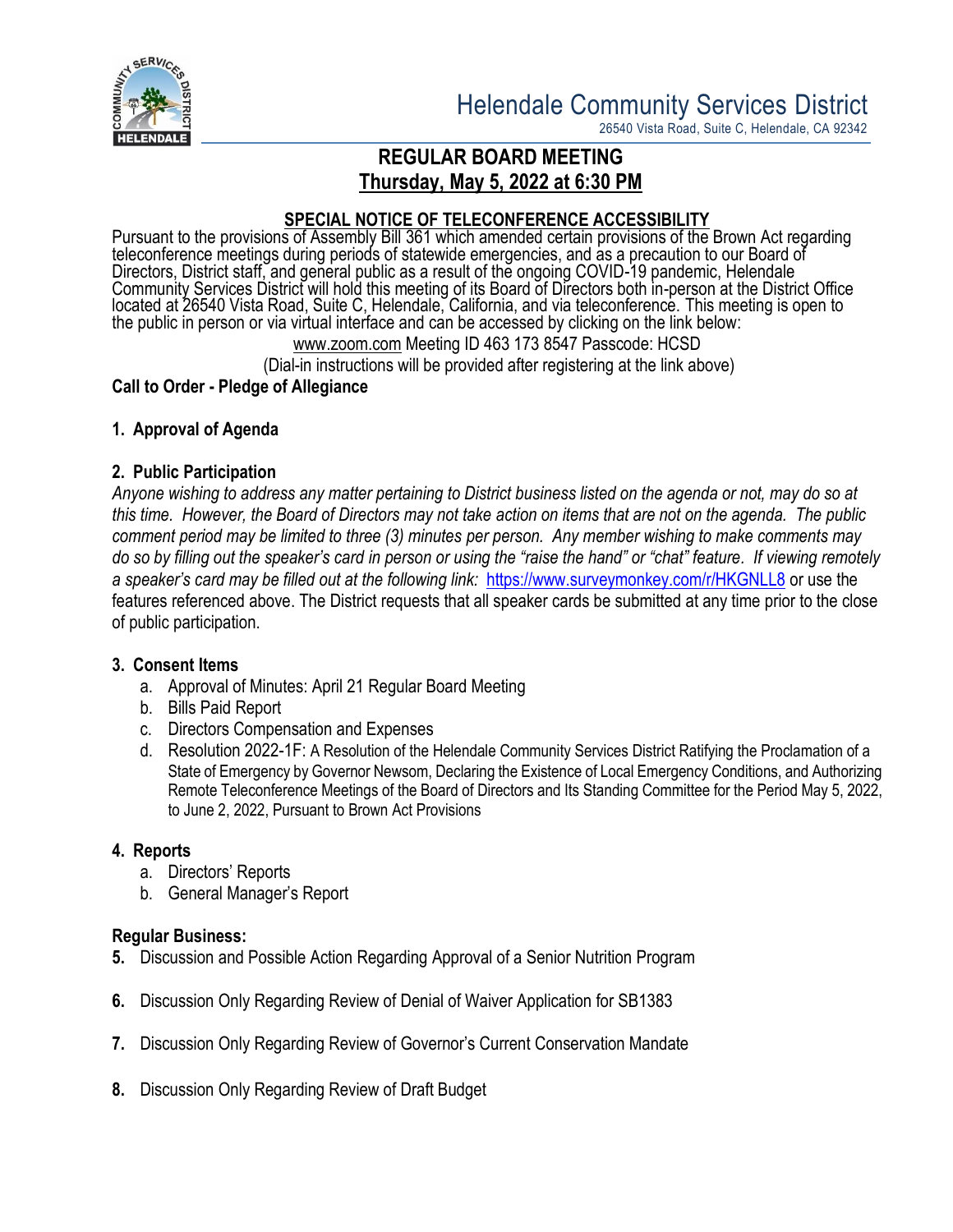

26540 Vista Road, Suite C, Helendale, CA 92342

# **REGULAR BOARD MEETING Thursday, May 5, 2022 at 6:30 PM**

## **SPECIAL NOTICE OF TELECONFERENCE ACCESSIBILITY**

Pursuant to the provisions of Assembly Bill 361 which amended certain provisions of the Brown Act regarding teleconference meetings during periods of statewide emergencies, and as a precaution to our Board of Directors, District staff, and general public as a result of the ongoing COVID-19 pandemic, Helendale Community Services District will hold this meeting of its Board of Directors both in-person at the District Office located at 26540 Vista Road, Suite C, Helendale, California, and via teleconference. This meeting is open to the public in person or via virtual interface and can be accessed by clicking on the link below:

[www.zoom.com](http://www.zoom.com/) Meeting ID 463 173 8547 Passcode: HCSD

(Dial-in instructions will be provided after registering at the link above)

### **Call to Order - Pledge of Allegiance**

### **1. Approval of Agenda**

### **2. Public Participation**

*Anyone wishing to address any matter pertaining to District business listed on the agenda or not, may do so at this time. However, the Board of Directors may not take action on items that are not on the agenda. The public comment period may be limited to three (3) minutes per person. Any member wishing to make comments may do so by filling out the speaker's card in person or using the "raise the hand" or "chat" feature. If viewing remotely a speaker's card may be filled out at the following link:* <https://www.surveymonkey.com/r/HKGNLL8> or use the features referenced above. The District requests that all speaker cards be submitted at any time prior to the close of public participation.

### **3. Consent Items**

- a. Approval of Minutes: April 21 Regular Board Meeting
- b. Bills Paid Report
- c. Directors Compensation and Expenses
- d. Resolution 2022-1F: A Resolution of the Helendale Community Services District Ratifying the Proclamation of a State of Emergency by Governor Newsom, Declaring the Existence of Local Emergency Conditions, and Authorizing Remote Teleconference Meetings of the Board of Directors and Its Standing Committee for the Period May 5, 2022, to June 2, 2022, Pursuant to Brown Act Provisions

### **4. Reports**

- a. Directors' Reports
- b. General Manager's Report

### **Regular Business:**

- **5.** Discussion and Possible Action Regarding Approval of a Senior Nutrition Program
- **6.** Discussion Only Regarding Review of Denial of Waiver Application for SB1383
- **7.** Discussion Only Regarding Review of Governor's Current Conservation Mandate
- **8.** Discussion Only Regarding Review of Draft Budget